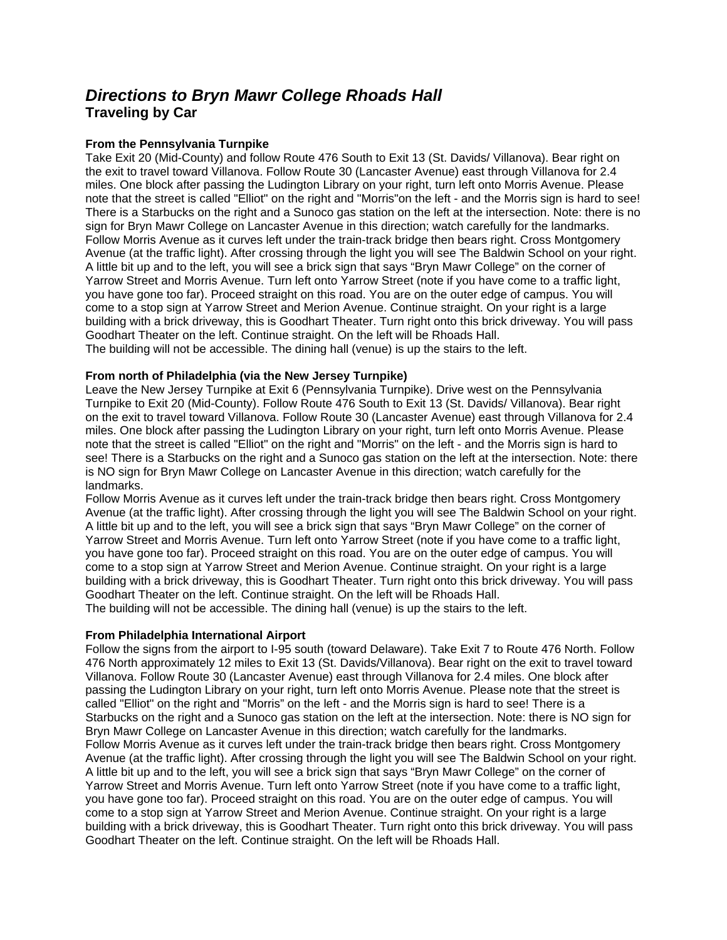# *Directions to Bryn Mawr College Rhoads Hall*  **Traveling by Car**

# **From the Pennsylvania Turnpike**

Take Exit 20 (Mid-County) and follow Route 476 South to Exit 13 (St. Davids/ Villanova). Bear right on the exit to travel toward Villanova. Follow Route 30 (Lancaster Avenue) east through Villanova for 2.4 miles. One block after passing the Ludington Library on your right, turn left onto Morris Avenue. Please note that the street is called "Elliot" on the right and "Morris"on the left - and the Morris sign is hard to see! There is a Starbucks on the right and a Sunoco gas station on the left at the intersection. Note: there is no sign for Bryn Mawr College on Lancaster Avenue in this direction; watch carefully for the landmarks. Follow Morris Avenue as it curves left under the train-track bridge then bears right. Cross Montgomery Avenue (at the traffic light). After crossing through the light you will see The Baldwin School on your right. A little bit up and to the left, you will see a brick sign that says "Bryn Mawr College" on the corner of Yarrow Street and Morris Avenue. Turn left onto Yarrow Street (note if you have come to a traffic light, you have gone too far). Proceed straight on this road. You are on the outer edge of campus. You will come to a stop sign at Yarrow Street and Merion Avenue. Continue straight. On your right is a large building with a brick driveway, this is Goodhart Theater. Turn right onto this brick driveway. You will pass Goodhart Theater on the left. Continue straight. On the left will be Rhoads Hall. The building will not be accessible. The dining hall (venue) is up the stairs to the left.

## **From north of Philadelphia (via the New Jersey Turnpike)**

Leave the New Jersey Turnpike at Exit 6 (Pennsylvania Turnpike). Drive west on the Pennsylvania Turnpike to Exit 20 (Mid-County). Follow Route 476 South to Exit 13 (St. Davids/ Villanova). Bear right on the exit to travel toward Villanova. Follow Route 30 (Lancaster Avenue) east through Villanova for 2.4 miles. One block after passing the Ludington Library on your right, turn left onto Morris Avenue. Please note that the street is called "Elliot" on the right and "Morris" on the left - and the Morris sign is hard to see! There is a Starbucks on the right and a Sunoco gas station on the left at the intersection. Note: there is NO sign for Bryn Mawr College on Lancaster Avenue in this direction; watch carefully for the landmarks.

Follow Morris Avenue as it curves left under the train-track bridge then bears right. Cross Montgomery Avenue (at the traffic light). After crossing through the light you will see The Baldwin School on your right. A little bit up and to the left, you will see a brick sign that says "Bryn Mawr College" on the corner of Yarrow Street and Morris Avenue. Turn left onto Yarrow Street (note if you have come to a traffic light, you have gone too far). Proceed straight on this road. You are on the outer edge of campus. You will come to a stop sign at Yarrow Street and Merion Avenue. Continue straight. On your right is a large building with a brick driveway, this is Goodhart Theater. Turn right onto this brick driveway. You will pass Goodhart Theater on the left. Continue straight. On the left will be Rhoads Hall. The building will not be accessible. The dining hall (venue) is up the stairs to the left.

## **From Philadelphia International Airport**

Follow the signs from the airport to I-95 south (toward Delaware). Take Exit 7 to Route 476 North. Follow 476 North approximately 12 miles to Exit 13 (St. Davids/Villanova). Bear right on the exit to travel toward Villanova. Follow Route 30 (Lancaster Avenue) east through Villanova for 2.4 miles. One block after passing the Ludington Library on your right, turn left onto Morris Avenue. Please note that the street is called "Elliot" on the right and "Morris" on the left - and the Morris sign is hard to see! There is a Starbucks on the right and a Sunoco gas station on the left at the intersection. Note: there is NO sign for Bryn Mawr College on Lancaster Avenue in this direction; watch carefully for the landmarks. Follow Morris Avenue as it curves left under the train-track bridge then bears right. Cross Montgomery Avenue (at the traffic light). After crossing through the light you will see The Baldwin School on your right. A little bit up and to the left, you will see a brick sign that says "Bryn Mawr College" on the corner of Yarrow Street and Morris Avenue. Turn left onto Yarrow Street (note if you have come to a traffic light, you have gone too far). Proceed straight on this road. You are on the outer edge of campus. You will come to a stop sign at Yarrow Street and Merion Avenue. Continue straight. On your right is a large building with a brick driveway, this is Goodhart Theater. Turn right onto this brick driveway. You will pass Goodhart Theater on the left. Continue straight. On the left will be Rhoads Hall.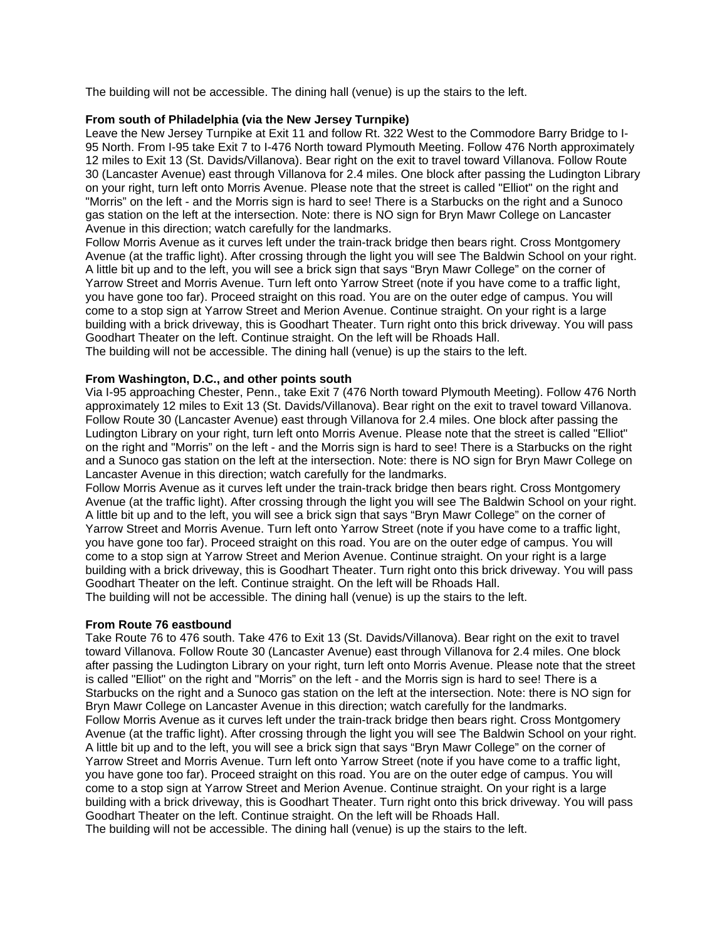The building will not be accessible. The dining hall (venue) is up the stairs to the left.

## **From south of Philadelphia (via the New Jersey Turnpike)**

Leave the New Jersey Turnpike at Exit 11 and follow Rt. 322 West to the Commodore Barry Bridge to I-95 North. From I-95 take Exit 7 to I-476 North toward Plymouth Meeting. Follow 476 North approximately 12 miles to Exit 13 (St. Davids/Villanova). Bear right on the exit to travel toward Villanova. Follow Route 30 (Lancaster Avenue) east through Villanova for 2.4 miles. One block after passing the Ludington Library on your right, turn left onto Morris Avenue. Please note that the street is called "Elliot" on the right and "Morris" on the left - and the Morris sign is hard to see! There is a Starbucks on the right and a Sunoco gas station on the left at the intersection. Note: there is NO sign for Bryn Mawr College on Lancaster Avenue in this direction; watch carefully for the landmarks.

Follow Morris Avenue as it curves left under the train-track bridge then bears right. Cross Montgomery Avenue (at the traffic light). After crossing through the light you will see The Baldwin School on your right. A little bit up and to the left, you will see a brick sign that says "Bryn Mawr College" on the corner of Yarrow Street and Morris Avenue. Turn left onto Yarrow Street (note if you have come to a traffic light, you have gone too far). Proceed straight on this road. You are on the outer edge of campus. You will come to a stop sign at Yarrow Street and Merion Avenue. Continue straight. On your right is a large building with a brick driveway, this is Goodhart Theater. Turn right onto this brick driveway. You will pass Goodhart Theater on the left. Continue straight. On the left will be Rhoads Hall.

The building will not be accessible. The dining hall (venue) is up the stairs to the left.

## **From Washington, D.C., and other points south**

Via I-95 approaching Chester, Penn., take Exit 7 (476 North toward Plymouth Meeting). Follow 476 North approximately 12 miles to Exit 13 (St. Davids/Villanova). Bear right on the exit to travel toward Villanova. Follow Route 30 (Lancaster Avenue) east through Villanova for 2.4 miles. One block after passing the Ludington Library on your right, turn left onto Morris Avenue. Please note that the street is called "Elliot" on the right and "Morris" on the left - and the Morris sign is hard to see! There is a Starbucks on the right and a Sunoco gas station on the left at the intersection. Note: there is NO sign for Bryn Mawr College on Lancaster Avenue in this direction; watch carefully for the landmarks.

Follow Morris Avenue as it curves left under the train-track bridge then bears right. Cross Montgomery Avenue (at the traffic light). After crossing through the light you will see The Baldwin School on your right. A little bit up and to the left, you will see a brick sign that says "Bryn Mawr College" on the corner of Yarrow Street and Morris Avenue. Turn left onto Yarrow Street (note if you have come to a traffic light, you have gone too far). Proceed straight on this road. You are on the outer edge of campus. You will come to a stop sign at Yarrow Street and Merion Avenue. Continue straight. On your right is a large building with a brick driveway, this is Goodhart Theater. Turn right onto this brick driveway. You will pass Goodhart Theater on the left. Continue straight. On the left will be Rhoads Hall.

The building will not be accessible. The dining hall (venue) is up the stairs to the left.

## **From Route 76 eastbound**

Take Route 76 to 476 south. Take 476 to Exit 13 (St. Davids/Villanova). Bear right on the exit to travel toward Villanova. Follow Route 30 (Lancaster Avenue) east through Villanova for 2.4 miles. One block after passing the Ludington Library on your right, turn left onto Morris Avenue. Please note that the street is called "Elliot" on the right and "Morris" on the left - and the Morris sign is hard to see! There is a Starbucks on the right and a Sunoco gas station on the left at the intersection. Note: there is NO sign for Bryn Mawr College on Lancaster Avenue in this direction; watch carefully for the landmarks. Follow Morris Avenue as it curves left under the train-track bridge then bears right. Cross Montgomery Avenue (at the traffic light). After crossing through the light you will see The Baldwin School on your right. A little bit up and to the left, you will see a brick sign that says "Bryn Mawr College" on the corner of Yarrow Street and Morris Avenue. Turn left onto Yarrow Street (note if you have come to a traffic light, you have gone too far). Proceed straight on this road. You are on the outer edge of campus. You will come to a stop sign at Yarrow Street and Merion Avenue. Continue straight. On your right is a large building with a brick driveway, this is Goodhart Theater. Turn right onto this brick driveway. You will pass Goodhart Theater on the left. Continue straight. On the left will be Rhoads Hall.

The building will not be accessible. The dining hall (venue) is up the stairs to the left.